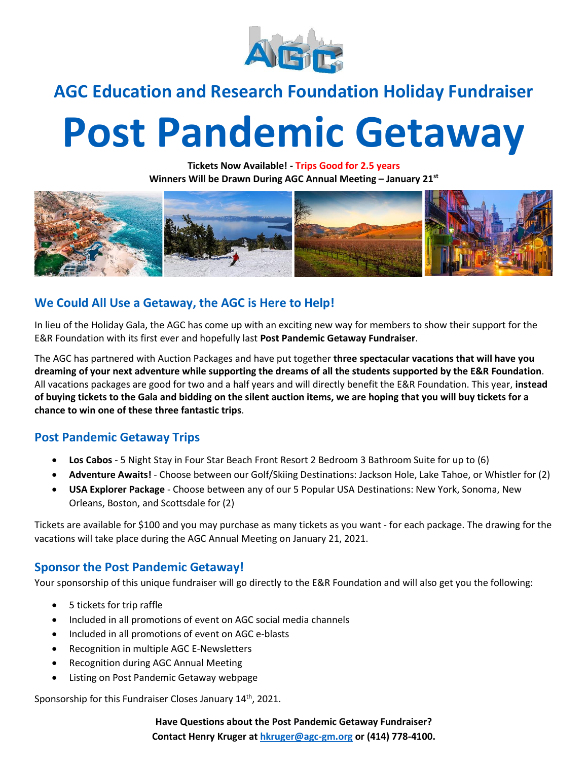

## **AGC Education and Research Foundation Holiday Fundraiser**

# **Post Pandemic Getaway**

**Tickets Now Available! - Trips Good for 2.5 years Winners Will be Drawn During AGC Annual Meeting – January 21 st**



### **We Could All Use a Getaway, the AGC is Here to Help!**

In lieu of the Holiday Gala, the AGC has come up with an exciting new way for members to show their support for the E&R Foundation with its first ever and hopefully last **Post Pandemic Getaway Fundraiser**.

The AGC has partnered with Auction Packages and have put together **three spectacular vacations that will have you dreaming of your next adventure while supporting the dreams of all the students supported by the E&R Foundation**. All vacations packages are good for two and a half years and will directly benefit the E&R Foundation. This year, **instead of buying tickets to the Gala and bidding on the silent auction items, we are hoping that you will buy tickets for a chance to win one of these three fantastic trips**.

#### **Post Pandemic Getaway Trips**

- **Los Cabos** 5 Night Stay in Four Star Beach Front Resort 2 Bedroom 3 Bathroom Suite for up to (6)
- **Adventure Awaits!** Choose between our Golf/Skiing Destinations: Jackson Hole, Lake Tahoe, or Whistler for (2)
- **USA Explorer Package** Choose between any of our 5 Popular USA Destinations: New York, Sonoma, New Orleans, Boston, and Scottsdale for (2)

Tickets are available for \$100 and you may purchase as many tickets as you want - for each package. The drawing for the vacations will take place during the AGC Annual Meeting on January 21, 2021.

#### **Sponsor the Post Pandemic Getaway!**

Your sponsorship of this unique fundraiser will go directly to the E&R Foundation and will also get you the following:

- 5 tickets for trip raffle
- Included in all promotions of event on AGC social media channels
- Included in all promotions of event on AGC e-blasts
- Recognition in multiple AGC E-Newsletters
- Recognition during AGC Annual Meeting
- Listing on Post Pandemic Getaway webpage

Sponsorship for this Fundraiser Closes January 14<sup>th</sup>, 2021.

**Have Questions about the Post Pandemic Getaway Fundraiser? Contact Henry Kruger at [hkruger@agc-gm.org](mailto:hkruger@agc-gm.org) or (414) 778-4100.**